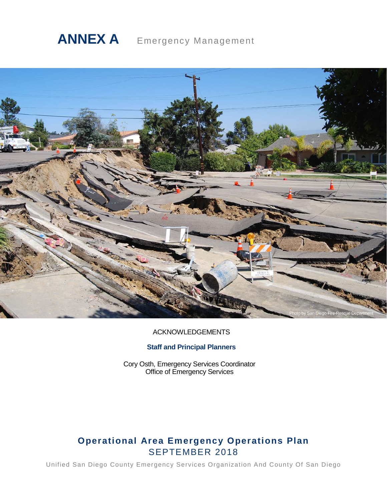# **ANNEX A** Emergency Management



# ACKNOWLEDGEMENTS

# **Staff and Principal Planners**

Cory Osth, Emergency Services Coordinator Office of Emergency Services

# **Operational Area Emergency Operations Plan** SEPTEMBER 2018

Unified San Diego County Emergency Services Organization And County Of San Diego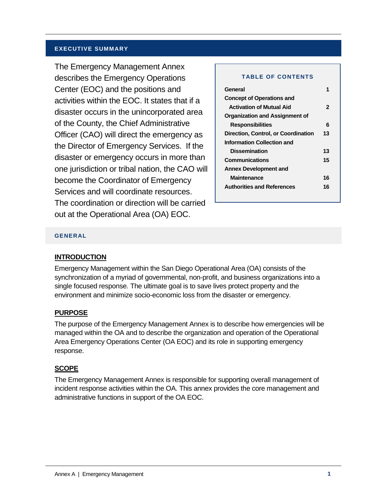#### **EXECUTIVE SUMMARY**

The Emergency Management Annex describes the Emergency Operations Center (EOC) and the positions and activities within the EOC. It states that if a disaster occurs in the unincorporated area of the County, the Chief Administrative Officer (CAO) will direct the emergency as the Director of Emergency Services. If the disaster or emergency occurs in more than one jurisdiction or tribal nation, the CAO will become the Coordinator of Emergency Services and will coordinate resources. The coordination or direction will be carried out at the Operational Area (OA) EOC.

#### **TABLE OF CONTENTS**

| <b>Concept of Operations and</b>          |  |
|-------------------------------------------|--|
| <b>Activation of Mutual Aid</b><br>2      |  |
| Organization and Assignment of            |  |
| 6<br><b>Responsibilities</b>              |  |
| Direction, Control, or Coordination<br>13 |  |
| Information Collection and                |  |
| <b>Dissemination</b><br>13                |  |
| <b>Communications</b><br>15               |  |
| <b>Annex Development and</b>              |  |
| <b>Maintenance</b><br>16                  |  |
| <b>Authorities and References</b><br>16   |  |

#### **GENERAL**

#### **INTRODUCTION**

Emergency Management within the San Diego Operational Area (OA) consists of the synchronization of a myriad of governmental, non-profit, and business organizations into a single focused response. The ultimate goal is to save lives protect property and the environment and minimize socio-economic loss from the disaster or emergency.

#### **PURPOSE**

The purpose of the Emergency Management Annex is to describe how emergencies will be managed within the OA and to describe the organization and operation of the Operational Area Emergency Operations Center (OA EOC) and its role in supporting emergency response.

#### **SCOPE**

The Emergency Management Annex is responsible for supporting overall management of incident response activities within the OA. This annex provides the core management and administrative functions in support of the OA EOC.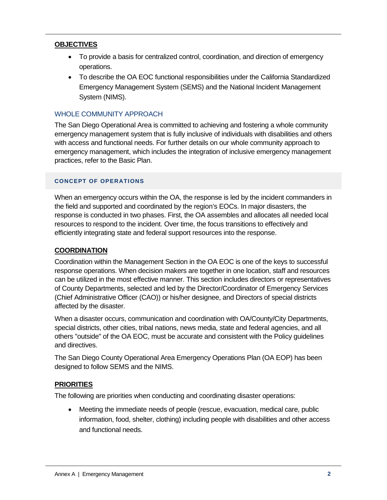# **OBJECTIVES**

- To provide a basis for centralized control, coordination, and direction of emergency operations.
- To describe the OA EOC functional responsibilities under the California Standardized Emergency Management System (SEMS) and the National Incident Management System (NIMS).

# WHOLE COMMUNITY APPROACH

The San Diego Operational Area is committed to achieving and fostering a whole community emergency management system that is fully inclusive of individuals with disabilities and others with access and functional needs. For further details on our whole community approach to emergency management, which includes the integration of inclusive emergency management practices, refer to the Basic Plan.

## **CONCEPT OF OPERATIONS**

When an emergency occurs within the OA, the response is led by the incident commanders in the field and supported and coordinated by the region's EOCs. In major disasters, the response is conducted in two phases. First, the OA assembles and allocates all needed local resources to respond to the incident. Over time, the focus transitions to effectively and efficiently integrating state and federal support resources into the response.

#### **COORDINATION**

Coordination within the Management Section in the OA EOC is one of the keys to successful response operations. When decision makers are together in one location, staff and resources can be utilized in the most effective manner. This section includes directors or representatives of County Departments, selected and led by the Director/Coordinator of Emergency Services (Chief Administrative Officer (CAO)) or his/her designee, and Directors of special districts affected by the disaster.

When a disaster occurs, communication and coordination with OA/County/City Departments, special districts, other cities, tribal nations, news media, state and federal agencies, and all others "outside" of the OA EOC, must be accurate and consistent with the Policy guidelines and directives.

The San Diego County Operational Area Emergency Operations Plan (OA EOP) has been designed to follow SEMS and the NIMS.

#### **PRIORITIES**

The following are priorities when conducting and coordinating disaster operations:

• Meeting the immediate needs of people (rescue, evacuation, medical care, public information, food, shelter, clothing) including people with disabilities and other access and functional needs.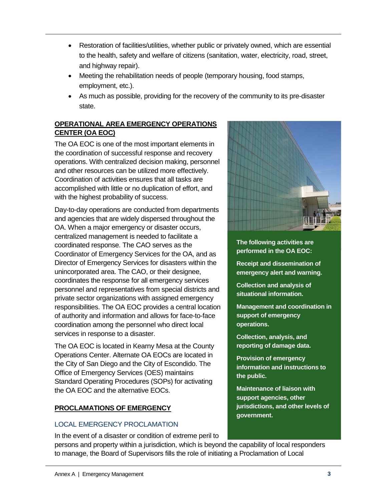- Restoration of facilities/utilities, whether public or privately owned, which are essential to the health, safety and welfare of citizens (sanitation, water, electricity, road, street, and highway repair).
- Meeting the rehabilitation needs of people (temporary housing, food stamps, employment, etc.).
- As much as possible, providing for the recovery of the community to its pre-disaster state.

# **OPERATIONAL AREA EMERGENCY OPERATIONS CENTER (OA EOC)**

The OA EOC is one of the most important elements in the coordination of successful response and recovery operations. With centralized decision making, personnel and other resources can be utilized more effectively. Coordination of activities ensures that all tasks are accomplished with little or no duplication of effort, and with the highest probability of success.

Day-to-day operations are conducted from departments and agencies that are widely dispersed throughout the OA. When a major emergency or disaster occurs, centralized management is needed to facilitate a coordinated response. The CAO serves as the Coordinator of Emergency Services for the OA, and as Director of Emergency Services for disasters within the unincorporated area. The CAO, or their designee, coordinates the response for all emergency services personnel and representatives from special districts and private sector organizations with assigned emergency responsibilities. The OA EOC provides a central location of authority and information and allows for face-to-face coordination among the personnel who direct local services in response to a disaster.

The OA EOC is located in Kearny Mesa at the County Operations Center. Alternate OA EOCs are located in the City of San Diego and the City of Escondido. The Office of Emergency Services (OES) maintains Standard Operating Procedures (SOPs) for activating the OA EOC and the alternative EOCs.

# **PROCLAMATIONS OF EMERGENCY**

# LOCAL EMERGENCY PROCLAMATION

In the event of a disaster or condition of extreme peril to



**The following activities are performed in the OA EOC:**

**Receipt and dissemination of emergency alert and warning.**

**Collection and analysis of situational information.**

**Management and coordination in support of emergency operations.**

**Collection, analysis, and reporting of damage data.**

**Provision of emergency information and instructions to the public.**

**Maintenance of liaison with support agencies, other jurisdictions, and other levels of government.**

persons and property within a jurisdiction, which is beyond the capability of local responders to manage, the Board of Supervisors fills the role of initiating a Proclamation of Local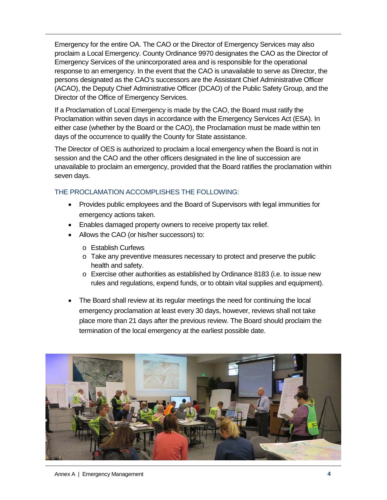Emergency for the entire OA. The CAO or the Director of Emergency Services may also proclaim a Local Emergency. County Ordinance 9970 designates the CAO as the Director of Emergency Services of the unincorporated area and is responsible for the operational response to an emergency. In the event that the CAO is unavailable to serve as Director, the persons designated as the CAO's successors are the Assistant Chief Administrative Officer (ACAO), the Deputy Chief Administrative Officer (DCAO) of the Public Safety Group, and the Director of the Office of Emergency Services.

If a Proclamation of Local Emergency is made by the CAO, the Board must ratify the Proclamation within seven days in accordance with the Emergency Services Act (ESA). In either case (whether by the Board or the CAO), the Proclamation must be made within ten days of the occurrence to qualify the County for State assistance.

The Director of OES is authorized to proclaim a local emergency when the Board is not in session and the CAO and the other officers designated in the line of succession are unavailable to proclaim an emergency, provided that the Board ratifies the proclamation within seven days.

# THE PROCLAMATION ACCOMPLISHES THE FOLLOWING:

- Provides public employees and the Board of Supervisors with legal immunities for emergency actions taken.
- Enables damaged property owners to receive property tax relief.
- Allows the CAO (or his/her successors) to:
	- o Establish Curfews
	- o Take any preventive measures necessary to protect and preserve the public health and safety.
	- o Exercise other authorities as established by Ordinance 8183 (i.e. to issue new rules and regulations, expend funds, or to obtain vital supplies and equipment).
- The Board shall review at its regular meetings the need for continuing the local emergency proclamation at least every 30 days, however, reviews shall not take place more than 21 days after the previous review. The Board should proclaim the termination of the local emergency at the earliest possible date.

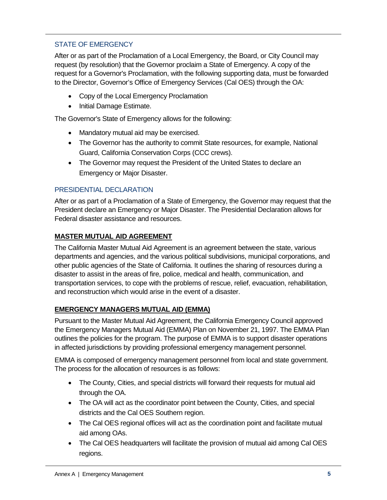# STATE OF EMERGENCY

After or as part of the Proclamation of a Local Emergency, the Board, or City Council may request (by resolution) that the Governor proclaim a State of Emergency. A copy of the request for a Governor's Proclamation, with the following supporting data, must be forwarded to the Director, Governor's Office of Emergency Services (Cal OES) through the OA:

- Copy of the Local Emergency Proclamation
- Initial Damage Estimate.

The Governor's State of Emergency allows for the following:

- Mandatory mutual aid may be exercised.
- The Governor has the authority to commit State resources, for example, National Guard, California Conservation Corps (CCC crews).
- The Governor may request the President of the United States to declare an Emergency or Major Disaster.

# PRESIDENTIAL DECLARATION

After or as part of a Proclamation of a State of Emergency, the Governor may request that the President declare an Emergency or Major Disaster. The Presidential Declaration allows for Federal disaster assistance and resources.

# **MASTER MUTUAL AID AGREEMENT**

The California Master Mutual Aid Agreement is an agreement between the state, various departments and agencies, and the various political subdivisions, municipal corporations, and other public agencies of the State of California. It outlines the sharing of resources during a disaster to assist in the areas of fire, police, medical and health, communication, and transportation services, to cope with the problems of rescue, relief, evacuation, rehabilitation, and reconstruction which would arise in the event of a disaster.

# **EMERGENCY MANAGERS MUTUAL AID (EMMA)**

Pursuant to the Master Mutual Aid Agreement, the California Emergency Council approved the Emergency Managers Mutual Aid (EMMA) Plan on November 21, 1997. The EMMA Plan outlines the policies for the program. The purpose of EMMA is to support disaster operations in affected jurisdictions by providing professional emergency management personnel.

EMMA is composed of emergency management personnel from local and state government. The process for the allocation of resources is as follows:

- The County, Cities, and special districts will forward their requests for mutual aid through the OA.
- The OA will act as the coordinator point between the County, Cities, and special districts and the Cal OES Southern region.
- The Cal OES regional offices will act as the coordination point and facilitate mutual aid among OAs.
- The Cal OES headquarters will facilitate the provision of mutual aid among Cal OES regions.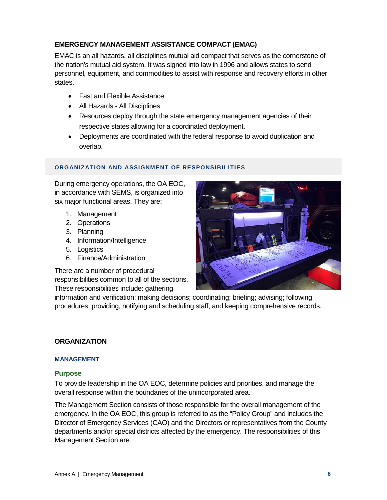# **EMERGENCY MANAGEMENT ASSISTANCE COMPACT (EMAC)**

EMAC is an all hazards, all disciplines mutual aid compact that serves as the cornerstone of the nation's mutual aid system. It was signed into law in 1996 and allows states to send personnel, equipment, and commodities to assist with response and recovery efforts in other states.

- Fast and Flexible Assistance
- All Hazards All Disciplines
- Resources deploy through the state emergency management agencies of their respective states allowing for a coordinated deployment.
- Deployments are coordinated with the federal response to avoid duplication and overlap.

## **ORGANIZATION AND ASSIGNMENT OF RESPONSIBILITIES**

During emergency operations, the OA EOC, in accordance with SEMS, is organized into six major functional areas. They are:

- 1. Management
- 2. Operations
- 3. Planning
- 4. Information/Intelligence
- 5. Logistics
- 6. Finance/Administration

There are a number of procedural responsibilities common to all of the sections. These responsibilities include: gathering



information and verification; making decisions; coordinating; briefing; advising; following procedures; providing, notifying and scheduling staff; and keeping comprehensive records.

#### **ORGANIZATION**

#### **MANAGEMENT**

#### **Purpose**

To provide leadership in the OA EOC, determine policies and priorities, and manage the overall response within the boundaries of the unincorporated area.

The Management Section consists of those responsible for the overall management of the emergency. In the OA EOC, this group is referred to as the "Policy Group" and includes the Director of Emergency Services (CAO) and the Directors or representatives from the County departments and/or special districts affected by the emergency. The responsibilities of this Management Section are: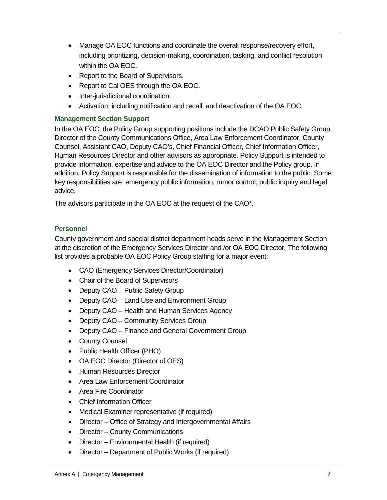- Manage OA EOC functions and coordinate the overall response/recovery effort, including prioritizing, decision-making, coordination, tasking, and conflict resolution within the OA EOC.
- Report to the Board of Supervisors.
- Report to Cal OES through the OA EOC.
- Inter-jurisdictional coordination.
- Activation, including notification and recall, and deactivation of the OA EOC.

## **Management Section Support**

In the OA EOC, the Policy Group supporting positions include the DCAO Public Safety Group, Director of the County Communications Office, Area Law Enforcement Coordinator, County Counsel, Assistant CAO, Deputy CAO's, Chief Financial Officer, Chief Information Officer, Human Resources Director and other advisors as appropriate. Policy Support is intended to provide information, expertise and advice to the OA EOC Director and the Policy group. In addition, Policy Support is responsible for the dissemination of information to the public. Some key responsibilities are: emergency public information, rumor control, public inquiry and legal advice.

The advisors participate in the OA EOC at the request of the CAO\*.

# **Personnel**

County government and special district department heads serve in the Management Section at the discretion of the Emergency Services Director and /or OA EOC Director. The following list provides a probable OA EOC Policy Group staffing for a major event:

- CAO (Emergency Services Director/Coordinator)
- Chair of the Board of Supervisors
- Deputy CAO Public Safety Group
- Deputy CAO Land Use and Environment Group
- Deputy CAO Health and Human Services Agency
- Deputy CAO Community Services Group
- Deputy CAO Finance and General Government Group
- County Counsel
- Public Health Officer (PHO)
- OA EOC Director (Director of OES)
- Human Resources Director
- Area Law Enforcement Coordinator
- Area Fire Coordinator
- Chief Information Officer
- Medical Examiner representative (if required)
- Director Office of Strategy and Intergovernmental Affairs
- Director County Communications
- Director Environmental Health (if required)
- Director Department of Public Works (if required)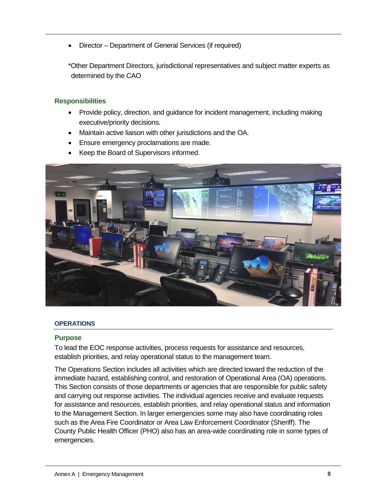• Director – Department of General Services (if required)

\*Other Department Directors, jurisdictional representatives and subject matter experts as determined by the CAO

## **Responsibilities**

- Provide policy, direction, and guidance for incident management, including making executive/priority decisions.
- Maintain active liaison with other jurisdictions and the OA.
- Ensure emergency proclamations are made.
- Keep the Board of Supervisors informed.



#### **OPERATIONS**

#### **Purpose**

To lead the EOC response activities, process requests for assistance and resources, establish priorities, and relay operational status to the management team.

The Operations Section includes all activities which are directed toward the reduction of the immediate hazard, establishing control, and restoration of Operational Area (OA) operations. This Section consists of those departments or agencies that are responsible for public safety and carrying out response activities. The individual agencies receive and evaluate requests for assistance and resources, establish priorities, and relay operational status and information to the Management Section. In larger emergencies some may also have coordinating roles such as the Area Fire Coordinator or Area Law Enforcement Coordinator (Sheriff). The County Public Health Officer (PHO) also has an area-wide coordinating role in some types of emergencies.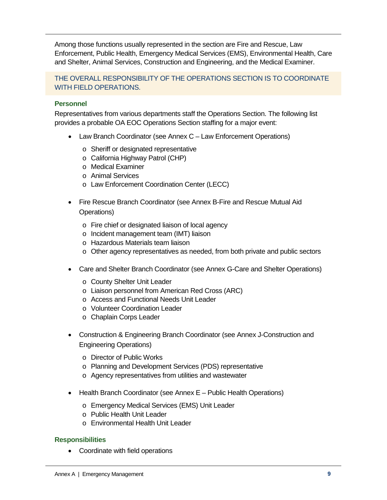Among those functions usually represented in the section are Fire and Rescue, Law Enforcement, Public Health, Emergency Medical Services (EMS), Environmental Health, Care and Shelter, Animal Services, Construction and Engineering, and the Medical Examiner.

THE OVERALL RESPONSIBILITY OF THE OPERATIONS SECTION IS TO COORDINATE WITH FIELD OPERATIONS.

# **Personnel**

Representatives from various departments staff the Operations Section. The following list provides a probable OA EOC Operations Section staffing for a major event:

- Law Branch Coordinator (see Annex C Law Enforcement Operations)
	- o Sheriff or designated representative
	- o California Highway Patrol (CHP)
	- o Medical Examiner
	- o Animal Services
	- o Law Enforcement Coordination Center (LECC)
- Fire Rescue Branch Coordinator (see Annex B-Fire and Rescue Mutual Aid Operations)
	- o Fire chief or designated liaison of local agency
	- o Incident management team (IMT) liaison
	- o Hazardous Materials team liaison
	- o Other agency representatives as needed, from both private and public sectors
- Care and Shelter Branch Coordinator (see Annex G-Care and Shelter Operations)
	- o County Shelter Unit Leader
	- o Liaison personnel from American Red Cross (ARC)
	- o Access and Functional Needs Unit Leader
	- o Volunteer Coordination Leader
	- o Chaplain Corps Leader
- Construction & Engineering Branch Coordinator (see Annex J-Construction and Engineering Operations)
	- o Director of Public Works
	- o Planning and Development Services (PDS) representative
	- o Agency representatives from utilities and wastewater
- Health Branch Coordinator (see Annex E Public Health Operations)
	- o Emergency Medical Services (EMS) Unit Leader
	- o Public Health Unit Leader
	- o Environmental Health Unit Leader

#### **Responsibilities**

• Coordinate with field operations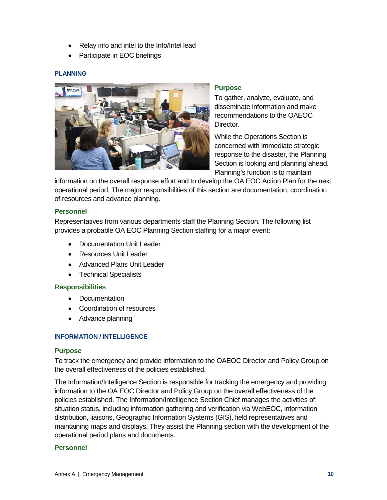- Relay info and intel to the Info/Intel lead
- Participate in EOC briefings

#### **PLANNING**



#### **Purpose**

To gather, analyze, evaluate, and disseminate information and make recommendations to the OAEOC Director.

While the Operations Section is concerned with immediate strategic response to the disaster, the Planning Section is looking and planning ahead. Planning's function is to maintain

information on the overall response effort and to develop the OA EOC Action Plan for the next operational period. The major responsibilities of this section are documentation, coordination of resources and advance planning.

#### **Personnel**

Representatives from various departments staff the Planning Section. The following list provides a probable OA EOC Planning Section staffing for a major event:

- Documentation Unit Leader
- Resources Unit Leader
- Advanced Plans Unit Leader
- Technical Specialists

#### **Responsibilities**

- Documentation
- Coordination of resources
- Advance planning

#### **INFORMATION / INTELLIGENCE**

#### **Purpose**

To track the emergency and provide information to the OAEOC Director and Policy Group on the overall effectiveness of the policies established.

The Information/Intelligence Section is responsible for tracking the emergency and providing information to the OA EOC Director and Policy Group on the overall effectiveness of the policies established. The Information/Intelligence Section Chief manages the activities of: situation status, including information gathering and verification via WebEOC, information distribution, liaisons, Geographic Information Systems (GIS), field representatives and maintaining maps and displays. They assist the Planning section with the development of the operational period plans and documents.

#### **Personnel**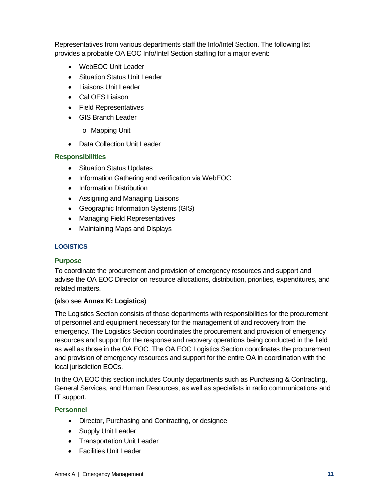Representatives from various departments staff the Info/Intel Section. The following list provides a probable OA EOC Info/Intel Section staffing for a major event:

- WebEOC Unit Leader
- Situation Status Unit Leader
- Liaisons Unit Leader
- Cal OES Liaison
- Field Representatives
- GIS Branch Leader
	- o Mapping Unit
- Data Collection Unit Leader

# **Responsibilities**

- Situation Status Updates
- Information Gathering and verification via WebEOC
- Information Distribution
- Assigning and Managing Liaisons
- Geographic Information Systems (GIS)
- Managing Field Representatives
- Maintaining Maps and Displays

# **LOGISTICS**

# **Purpose**

To coordinate the procurement and provision of emergency resources and support and advise the OA EOC Director on resource allocations, distribution, priorities, expenditures, and related matters.

# (also see **Annex K: Logistics**)

The Logistics Section consists of those departments with responsibilities for the procurement of personnel and equipment necessary for the management of and recovery from the emergency. The Logistics Section coordinates the procurement and provision of emergency resources and support for the response and recovery operations being conducted in the field as well as those in the OA EOC. The OA EOC Logistics Section coordinates the procurement and provision of emergency resources and support for the entire OA in coordination with the local jurisdiction EOCs.

In the OA EOC this section includes County departments such as Purchasing & Contracting, General Services, and Human Resources, as well as specialists in radio communications and IT support.

# **Personnel**

- Director, Purchasing and Contracting, or designee
- Supply Unit Leader
- Transportation Unit Leader
- Facilities Unit Leader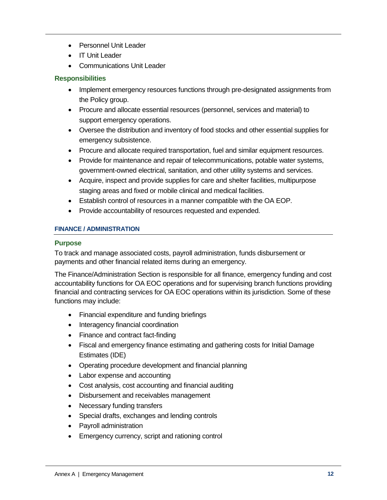- Personnel Unit Leader
- IT Unit Leader
- Communications Unit Leader

#### **Responsibilities**

- Implement emergency resources functions through pre-designated assignments from the Policy group.
- Procure and allocate essential resources (personnel, services and material) to support emergency operations.
- Oversee the distribution and inventory of food stocks and other essential supplies for emergency subsistence.
- Procure and allocate required transportation, fuel and similar equipment resources.
- Provide for maintenance and repair of telecommunications, potable water systems, government-owned electrical, sanitation, and other utility systems and services.
- Acquire, inspect and provide supplies for care and shelter facilities, multipurpose staging areas and fixed or mobile clinical and medical facilities.
- Establish control of resources in a manner compatible with the OA EOP.
- Provide accountability of resources requested and expended.

#### **FINANCE / ADMINISTRATION**

#### **Purpose**

To track and manage associated costs, payroll administration, funds disbursement or payments and other financial related items during an emergency.

The Finance/Administration Section is responsible for all finance, emergency funding and cost accountability functions for OA EOC operations and for supervising branch functions providing financial and contracting services for OA EOC operations within its jurisdiction. Some of these functions may include:

- Financial expenditure and funding briefings
- Interagency financial coordination
- Finance and contract fact-finding
- Fiscal and emergency finance estimating and gathering costs for Initial Damage Estimates (IDE)
- Operating procedure development and financial planning
- Labor expense and accounting
- Cost analysis, cost accounting and financial auditing
- Disbursement and receivables management
- Necessary funding transfers
- Special drafts, exchanges and lending controls
- Payroll administration
- Emergency currency, script and rationing control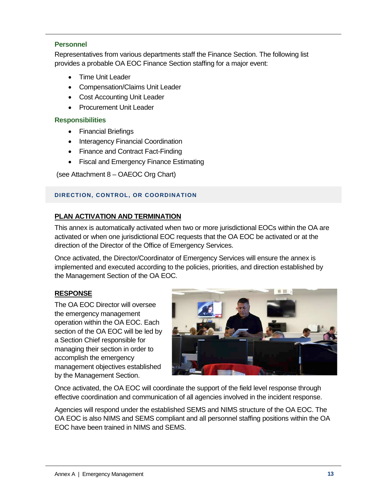## **Personnel**

Representatives from various departments staff the Finance Section. The following list provides a probable OA EOC Finance Section staffing for a major event:

- Time Unit Leader
- Compensation/Claims Unit Leader
- Cost Accounting Unit Leader
- Procurement Unit Leader

#### **Responsibilities**

- Financial Briefings
- Interagency Financial Coordination
- Finance and Contract Fact-Finding
- Fiscal and Emergency Finance Estimating

(see Attachment 8 – OAEOC Org Chart)

#### **DIRECTION, CONTROL, OR COORDINATION**

# **PLAN ACTIVATION AND TERMINATION**

This annex is automatically activated when two or more jurisdictional EOCs within the OA are activated or when one jurisdictional EOC requests that the OA EOC be activated or at the direction of the Director of the Office of Emergency Services.

Once activated, the Director/Coordinator of Emergency Services will ensure the annex is implemented and executed according to the policies, priorities, and direction established by the Management Section of the OA EOC.

# **RESPONSE**

The OA EOC Director will oversee the emergency management operation within the OA EOC. Each section of the OA EOC will be led by a Section Chief responsible for managing their section in order to accomplish the emergency management objectives established by the Management Section.



Once activated, the OA EOC will coordinate the support of the field level response through effective coordination and communication of all agencies involved in the incident response.

Agencies will respond under the established SEMS and NIMS structure of the OA EOC. The OA EOC is also NIMS and SEMS compliant and all personnel staffing positions within the OA EOC have been trained in NIMS and SEMS.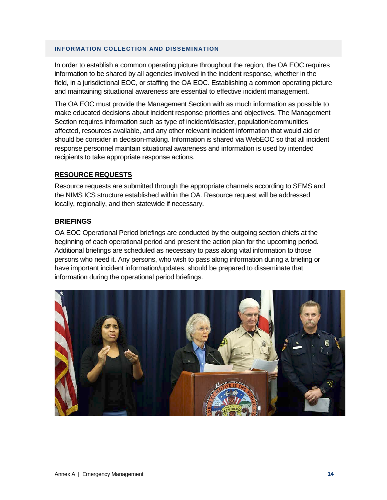#### **INFORMATION COLLECTION AND DISSEMINATION**

In order to establish a common operating picture throughout the region, the OA EOC requires information to be shared by all agencies involved in the incident response, whether in the field, in a jurisdictional EOC, or staffing the OA EOC. Establishing a common operating picture and maintaining situational awareness are essential to effective incident management.

The OA EOC must provide the Management Section with as much information as possible to make educated decisions about incident response priorities and objectives. The Management Section requires information such as type of incident/disaster, population/communities affected, resources available, and any other relevant incident information that would aid or should be consider in decision-making. Information is shared via WebEOC so that all incident response personnel maintain situational awareness and information is used by intended recipients to take appropriate response actions.

#### **RESOURCE REQUESTS**

Resource requests are submitted through the appropriate channels according to SEMS and the NIMS ICS structure established within the OA. Resource request will be addressed locally, regionally, and then statewide if necessary.

#### **BRIEFINGS**

OA EOC Operational Period briefings are conducted by the outgoing section chiefs at the beginning of each operational period and present the action plan for the upcoming period. Additional briefings are scheduled as necessary to pass along vital information to those persons who need it. Any persons, who wish to pass along information during a briefing or have important incident information/updates, should be prepared to disseminate that information during the operational period briefings.

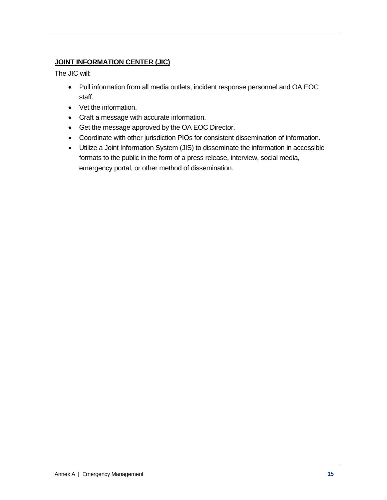# **JOINT INFORMATION CENTER (JIC)**

The JIC will:

- Pull information from all media outlets, incident response personnel and OA EOC staff.
- Vet the information.
- Craft a message with accurate information.
- Get the message approved by the OA EOC Director.
- Coordinate with other jurisdiction PIOs for consistent dissemination of information.
- Utilize a Joint Information System (JIS) to disseminate the information in accessible formats to the public in the form of a press release, interview, social media, emergency portal, or other method of dissemination.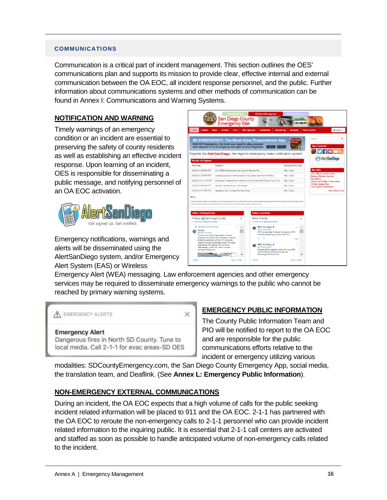#### **COMMUNICATIONS**

Communication is a critical part of incident management. This section outlines the OES' communications plan and supports its mission to provide clear, effective internal and external communication between the OA EOC, all incident response personnel, and the public. Further information about communications systems and other methods of communication can be found in Annex I: Communications and Warning Systems.

## **NOTIFICATION AND WARNING**

Timely warnings of an emergency condition or an incident are essential to preserving the safety of county residents as well as establishing an effective incident response. Upon learning of an incident, OES is responsible for disseminating a public message, and notifying personnel of an OA EOC activation.



Emergency notifications, warnings and alerts will be disseminated using the AlertSanDiego system, and/or Emergency Alert System (EAS) or Wireless



Emergency Alert (WEA) messaging. Law enforcement agencies and other emergency services may be required to disseminate emergency warnings to the public who cannot be reached by primary warning systems.

A EMERGENCY ALERTS X **Emergency Alert** Dangerous fires in North SD County. Tune to local media. Call 2-1-1 for evac areas-SD OES

# **EMERGENCY PUBLIC INFORMATION**

The County Public Information Team and PIO will be notified to report to the OA EOC and are responsible for the public communications efforts relative to the incident or emergency utilizing various

modalities: SDCountyEmergency.com, the San Diego County Emergency App, social media, the translation team, and Deaflink. (See **Annex L: Emergency Public Information**).

# **NON-EMERGENCY EXTERNAL COMMUNICATIONS**

During an incident, the OA EOC expects that a high volume of calls for the public seeking incident related information will be placed to 911 and the OA EOC. 2-1-1 has partnered with the OA EOC to reroute the non-emergency calls to 2-1-1 personnel who can provide incident related information to the inquiring public. It is essential that 2-1-1 call centers are activated and staffed as soon as possible to handle anticipated volume of non-emergency calls related to the incident.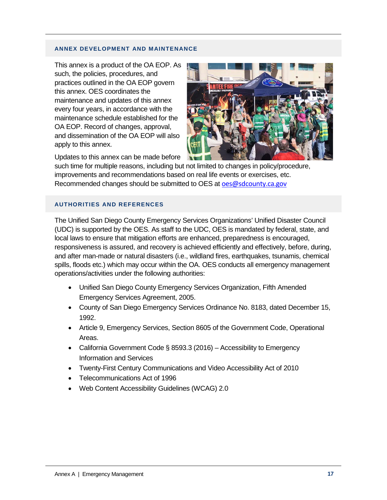#### **ANNEX DEVELOPMENT AND MAINTENANCE**

This annex is a product of the OA EOP. As such, the policies, procedures, and practices outlined in the OA EOP govern this annex. OES coordinates the maintenance and updates of this annex every four years, in accordance with the maintenance schedule established for the OA EOP. Record of changes, approval, and dissemination of the OA EOP will also apply to this annex.



Updates to this annex can be made before

such time for multiple reasons, including but not limited to changes in policy/procedure, improvements and recommendations based on real life events or exercises, etc. Recommended changes should be submitted to OES at [oes@sdcounty.ca.gov](mailto:oes@sdcounty.ca.gov)

#### **AUTHORITIES AND REFERENCES**

The Unified San Diego County Emergency Services Organizations' Unified Disaster Council (UDC) is supported by the OES. As staff to the UDC, OES is mandated by federal, state, and local laws to ensure that mitigation efforts are enhanced, preparedness is encouraged, responsiveness is assured, and recovery is achieved efficiently and effectively, before, during, and after man-made or natural disasters (i.e., wildland fires, earthquakes, tsunamis, chemical spills, floods etc.) which may occur within the OA. OES conducts all emergency management operations/activities under the following authorities:

- Unified San Diego County Emergency Services Organization, Fifth Amended Emergency Services Agreement, 2005.
- County of San Diego Emergency Services Ordinance No. 8183, dated December 15, 1992.
- Article 9, Emergency Services, Section 8605 of the Government Code, Operational Areas.
- California Government Code § 8593.3 (2016) Accessibility to Emergency Information and Services
- Twenty-First Century Communications and Video Accessibility Act of 2010
- Telecommunications Act of 1996
- Web Content Accessibility Guidelines (WCAG) 2.0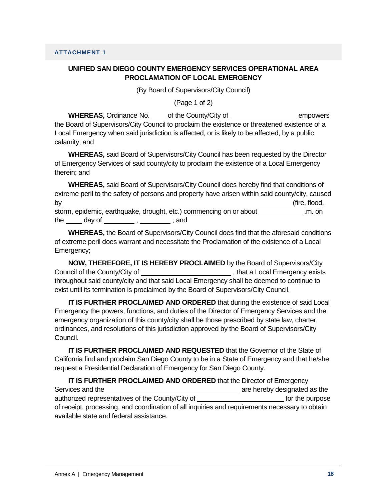(By Board of Supervisors/City Council)

(Page 1 of 2)

WHEREAS, Ordinance No. \_\_\_\_ of the County/City of empowers the Board of Supervisors/City Council to proclaim the existence or threatened existence of a Local Emergency when said jurisdiction is affected, or is likely to be affected, by a public calamity; and

**WHEREAS,** said Board of Supervisors/City Council has been requested by the Director of Emergency Services of said county/city to proclaim the existence of a Local Emergency therein; and

**WHEREAS,** said Board of Supervisors/City Council does hereby find that conditions of extreme peril to the safety of persons and property have arisen within said county/city, caused by (fire, flood, storm, epidemic, earthquake, drought, etc.) commencing on or about \_\_\_\_\_\_\_\_\_\_\_\_.m. on the  $\qquad \qquad$  day of  $\qquad \qquad , \qquad \qquad ;$  and

**WHEREAS,** the Board of Supervisors/City Council does find that the aforesaid conditions of extreme peril does warrant and necessitate the Proclamation of the existence of a Local Emergency;

**NOW, THEREFORE, IT IS HEREBY PROCLAIMED** by the Board of Supervisors/City Council of the County/City of  $\sqrt{2}$  , that a Local Emergency exists throughout said county/city and that said Local Emergency shall be deemed to continue to exist until its termination is proclaimed by the Board of Supervisors/City Council.

**IT IS FURTHER PROCLAIMED AND ORDERED** that during the existence of said Local Emergency the powers, functions, and duties of the Director of Emergency Services and the emergency organization of this county/city shall be those prescribed by state law, charter, ordinances, and resolutions of this jurisdiction approved by the Board of Supervisors/City Council.

**IT IS FURTHER PROCLAIMED AND REQUESTED** that the Governor of the State of California find and proclaim San Diego County to be in a State of Emergency and that he/she request a Presidential Declaration of Emergency for San Diego County.

**IT IS FURTHER PROCLAIMED AND ORDERED** that the Director of Emergency Services and the **are in the area of the services** are hereby designated as the authorized representatives of the County/City of form of the purpose for the purpose of receipt, processing, and coordination of all inquiries and requirements necessary to obtain available state and federal assistance.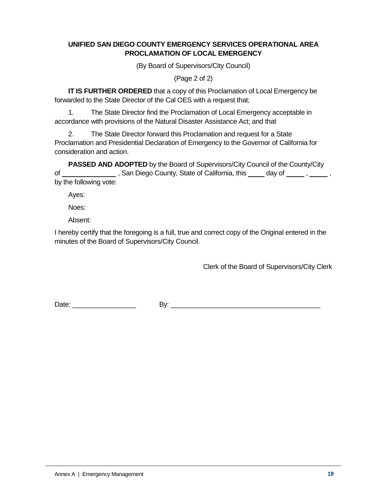(By Board of Supervisors/City Council)

(Page 2 of 2)

**IT IS FURTHER ORDERED** that a copy of this Proclamation of Local Emergency be forwarded to the State Director of the Cal OES with a request that;

1. The State Director find the Proclamation of Local Emergency acceptable in accordance with provisions of the Natural Disaster Assistance Act; and that

2. The State Director forward this Proclamation and request for a State Proclamation and Presidential Declaration of Emergency to the Governor of California for consideration and action.

**PASSED AND ADOPTED** by the Board of Supervisors/City Council of the County/City of \_\_\_\_\_\_\_\_\_\_\_\_\_\_\_\_, San Diego County, State of California, this \_\_\_\_\_ day of \_\_\_\_\_, \_\_\_\_\_, by the following vote:

Ayes:

Noes:

Absent:

I hereby certify that the foregoing is a full, true and correct copy of the Original entered in the minutes of the Board of Supervisors/City Council.

Clerk of the Board of Supervisors/City Clerk

Date: \_\_\_\_\_\_\_\_\_\_\_\_\_\_\_\_\_ By: \_\_\_\_\_\_\_\_\_\_\_\_\_\_\_\_\_\_\_\_\_\_\_\_\_\_\_\_\_\_\_\_\_\_\_\_\_\_\_\_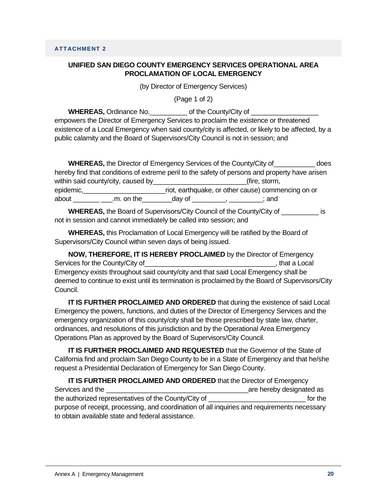(by Director of Emergency Services)

(Page 1 of 2)

**WHEREAS,** Ordinance No.  $\qquad \qquad$  of the County/City of empowers the Director of Emergency Services to proclaim the existence or threatened existence of a Local Emergency when said county/city is affected, or likely to be affected, by a public calamity and the Board of Supervisors/City Council is not in session; and

|                                       | <b>WHEREAS, the Director of Emergency Services of the County/City of</b>                                               | does |
|---------------------------------------|------------------------------------------------------------------------------------------------------------------------|------|
|                                       | hereby find that conditions of extreme peril to the safety of persons and property have arisen                         |      |
| within said county/city, caused by___ | (fire, storm,                                                                                                          |      |
| epidemic,                             | riot, earthquake, or other cause) commencing on or                                                                     |      |
| about<br>.m. on the                   | day of the control of the control of the control of the control of the control of the control of the control o<br>∶and |      |

**WHEREAS,** the Board of Supervisors/City Council of the County/City of \_\_\_\_\_\_\_\_\_\_ is not in session and cannot immediately be called into session; and

**WHEREAS,** this Proclamation of Local Emergency will be ratified by the Board of Supervisors/City Council within seven days of being issued.

**NOW, THEREFORE, IT IS HEREBY PROCLAIMED** by the Director of Emergency Services for the County/City of the County of the County of the County of the County of the County of the County of the County of the County of the County of the County of the County of the County of the County of the Coun Emergency exists throughout said county/city and that said Local Emergency shall be deemed to continue to exist until its termination is proclaimed by the Board of Supervisors/City Council.

**IT IS FURTHER PROCLAIMED AND ORDERED** that during the existence of said Local Emergency the powers, functions, and duties of the Director of Emergency Services and the emergency organization of this county/city shall be those prescribed by state law, charter, ordinances, and resolutions of this jurisdiction and by the Operational Area Emergency Operations Plan as approved by the Board of Supervisors/City Council.

**IT IS FURTHER PROCLAIMED AND REQUESTED** that the Governor of the State of California find and proclaim San Diego County to be in a State of Emergency and that he/she request a Presidential Declaration of Emergency for San Diego County.

**IT IS FURTHER PROCLAIMED AND ORDERED** that the Director of Emergency Services and the **Services** and the services and the services are hereby designated as the authorized representatives of the County/City of \_\_\_\_\_\_\_\_\_\_\_\_\_\_\_\_\_\_\_\_\_\_\_\_\_\_ for the purpose of receipt, processing, and coordination of all inquiries and requirements necessary to obtain available state and federal assistance.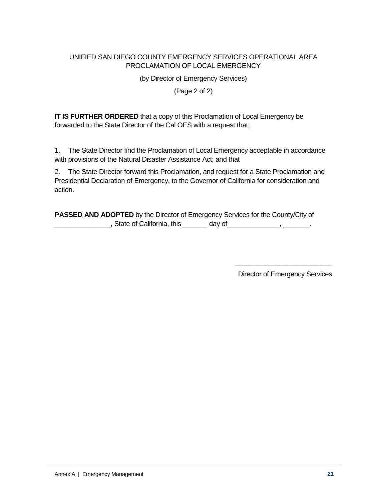(by Director of Emergency Services)

(Page 2 of 2)

**IT IS FURTHER ORDERED** that a copy of this Proclamation of Local Emergency be forwarded to the State Director of the Cal OES with a request that;

1. The State Director find the Proclamation of Local Emergency acceptable in accordance with provisions of the Natural Disaster Assistance Act; and that

2. The State Director forward this Proclamation, and request for a State Proclamation and Presidential Declaration of Emergency, to the Governor of California for consideration and action.

**PASSED AND ADOPTED** by the Director of Emergency Services for the County/City of \_\_\_\_\_\_\_\_\_\_\_\_\_\_\_\_\_, State of California, this\_\_\_\_\_\_\_\_ day of\_\_\_\_\_\_\_\_\_\_\_\_\_\_, \_\_\_\_\_\_\_\_.

> \_\_\_\_\_\_\_\_\_\_\_\_\_\_\_\_\_\_\_\_\_\_\_\_\_\_ Director of Emergency Services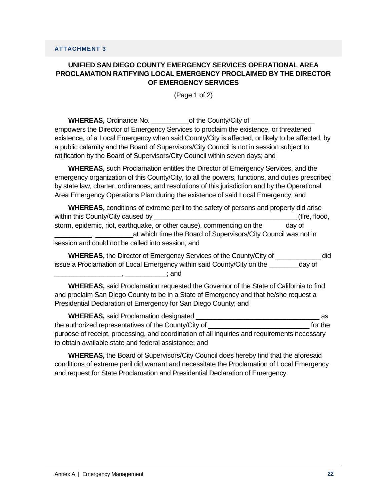# **UNIFIED SAN DIEGO COUNTY EMERGENCY SERVICES OPERATIONAL AREA PROCLAMATION RATIFYING LOCAL EMERGENCY PROCLAIMED BY THE DIRECTOR OF EMERGENCY SERVICES**

(Page 1 of 2)

**WHEREAS,** Ordinance No. \_\_\_\_\_\_\_\_\_\_\_\_\_\_of the County/City of \_\_\_\_\_\_\_\_\_\_\_\_\_\_\_\_\_\_\_\_ empowers the Director of Emergency Services to proclaim the existence, or threatened existence, of a Local Emergency when said County/City is affected, or likely to be affected, by a public calamity and the Board of Supervisors/City Council is not in session subject to ratification by the Board of Supervisors/City Council within seven days; and

**WHEREAS,** such Proclamation entitles the Director of Emergency Services, and the emergency organization of this County/City, to all the powers, functions, and duties prescribed by state law, charter, ordinances, and resolutions of this jurisdiction and by the Operational Area Emergency Operations Plan during the existence of said Local Emergency; and

| <b>WHEREAS, conditions of extreme peril to the safety of persons and property did arise</b> |               |
|---------------------------------------------------------------------------------------------|---------------|
| within this County/City caused by                                                           | (fire, flood, |
| storm, epidemic, riot, earthquake, or other cause), commencing on the                       | day of        |
| at which time the Board of Supervisors/City Council was not in                              |               |
| session and could not be called into session; and                                           |               |

**WHEREAS,** the Director of Emergency Services of the County/City of \_\_\_\_\_\_\_\_\_\_\_\_ did issue a Proclamation of Local Emergency within said County/City on the \_\_\_\_\_\_\_\_day of \_\_\_\_\_\_\_\_\_\_\_\_\_\_\_\_\_\_, \_\_\_\_\_\_\_\_\_\_\_; and

**WHEREAS,** said Proclamation requested the Governor of the State of California to find and proclaim San Diego County to be in a State of Emergency and that he/she request a Presidential Declaration of Emergency for San Diego County; and

**WHEREAS,** said Proclamation designated \_\_\_\_\_\_\_\_\_\_\_\_\_\_\_\_\_\_\_\_\_\_\_\_\_\_\_\_\_\_\_\_\_ as the authorized representatives of the County/City of \_\_\_\_\_\_\_\_\_\_\_\_\_\_\_\_\_\_\_\_\_\_\_\_\_\_\_ for the purpose of receipt, processing, and coordination of all inquiries and requirements necessary to obtain available state and federal assistance; and

**WHEREAS,** the Board of Supervisors/City Council does hereby find that the aforesaid conditions of extreme peril did warrant and necessitate the Proclamation of Local Emergency and request for State Proclamation and Presidential Declaration of Emergency.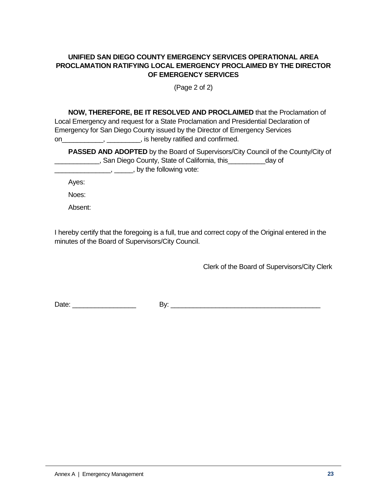## **UNIFIED SAN DIEGO COUNTY EMERGENCY SERVICES OPERATIONAL AREA PROCLAMATION RATIFYING LOCAL EMERGENCY PROCLAIMED BY THE DIRECTOR OF EMERGENCY SERVICES**

(Page 2 of 2)

| NOW, THEREFORE, BE IT RESOLVED AND PROCLAIMED that the Proclamation of               |
|--------------------------------------------------------------------------------------|
| Local Emergency and request for a State Proclamation and Presidential Declaration of |
| Emergency for San Diego County issued by the Director of Emergency Services          |
| , is hereby ratified and confirmed.<br>on                                            |

**PASSED AND ADOPTED** by the Board of Supervisors/City Council of the County/City of **EXECUTE:** San Diego County, State of California, this \_\_\_\_\_\_\_\_\_\_\_\_\_day of **LETT**, \_\_\_\_\_\_\_, by the following vote:

Ayes:

Noes:

Absent:

I hereby certify that the foregoing is a full, true and correct copy of the Original entered in the minutes of the Board of Supervisors/City Council.

Clerk of the Board of Supervisors/City Clerk

Date: \_\_\_\_\_\_\_\_\_\_\_\_\_\_\_\_\_ By: \_\_\_\_\_\_\_\_\_\_\_\_\_\_\_\_\_\_\_\_\_\_\_\_\_\_\_\_\_\_\_\_\_\_\_\_\_\_\_\_

Annex A | Emergency Management **23 23**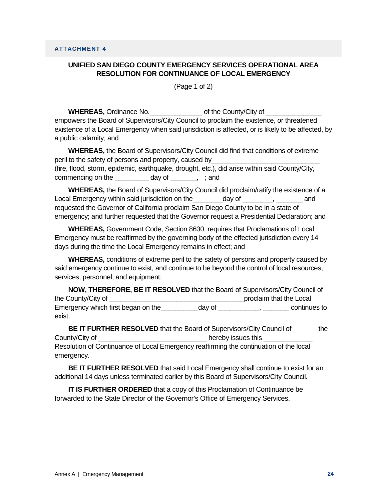## **UNIFIED SAN DIEGO COUNTY EMERGENCY SERVICES OPERATIONAL AREA RESOLUTION FOR CONTINUANCE OF LOCAL EMERGENCY**

(Page 1 of 2)

**WHEREAS,** Ordinance No.  $\qquad \qquad$  of the County/City of empowers the Board of Supervisors/City Council to proclaim the existence, or threatened existence of a Local Emergency when said jurisdiction is affected, or is likely to be affected, by a public calamity; and

**WHEREAS,** the Board of Supervisors/City Council did find that conditions of extreme peril to the safety of persons and property, caused by (fire, flood, storm, epidemic, earthquake, drought, etc.), did arise within said County/City,

commencing on the day of \_\_\_\_\_, ; and

**WHEREAS,** the Board of Supervisors/City Council did proclaim/ratify the existence of a Local Emergency within said jurisdiction on the day of the cand requested the Governor of California proclaim San Diego County to be in a state of emergency; and further requested that the Governor request a Presidential Declaration; and

**WHEREAS,** Government Code, Section 8630, requires that Proclamations of Local Emergency must be reaffirmed by the governing body of the effected jurisdiction every 14 days during the time the Local Emergency remains in effect; and

**WHEREAS,** conditions of extreme peril to the safety of persons and property caused by said emergency continue to exist, and continue to be beyond the control of local resources, services, personnel, and equipment;

**NOW, THEREFORE, BE IT RESOLVED** that the Board of Supervisors/City Council of the County/City of \_\_\_\_\_\_\_\_\_\_\_\_\_\_\_\_\_\_\_\_\_\_\_\_\_\_\_\_\_\_\_\_\_\_\_\_proclaim that the Local Emergency which first began on the day of the continues to exist.

**BE IT FURTHER RESOLVED** that the Board of Supervisors/City Council of the County/City of **Example 20** County/City of  $\Box$ Resolution of Continuance of Local Emergency reaffirming the continuation of the local emergency.

**BE IT FURTHER RESOLVED** that said Local Emergency shall continue to exist for an additional 14 days unless terminated earlier by this Board of Supervisors/City Council.

**IT IS FURTHER ORDERED** that a copy of this Proclamation of Continuance be forwarded to the State Director of the Governor's Office of Emergency Services.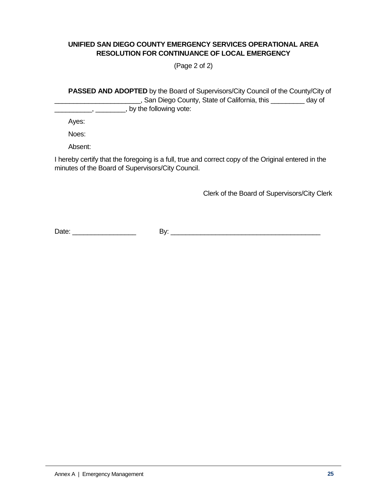## **UNIFIED SAN DIEGO COUNTY EMERGENCY SERVICES OPERATIONAL AREA RESOLUTION FOR CONTINUANCE OF LOCAL EMERGENCY**

(Page 2 of 2)

**PASSED AND ADOPTED** by the Board of Supervisors/City Council of the County/City of \_\_\_\_\_\_\_\_\_\_\_\_\_\_\_\_\_\_\_\_\_\_\_, San Diego County, State of California, this \_\_\_\_\_\_\_\_\_ day of  $\frac{1}{1}$ ,  $\frac{1}{1}$ , by the following vote:

Ayes:

Noes:

Absent:

I hereby certify that the foregoing is a full, true and correct copy of the Original entered in the minutes of the Board of Supervisors/City Council.

Clerk of the Board of Supervisors/City Clerk

Date: \_\_\_\_\_\_\_\_\_\_\_\_\_\_\_\_\_ By: \_\_\_\_\_\_\_\_\_\_\_\_\_\_\_\_\_\_\_\_\_\_\_\_\_\_\_\_\_\_\_\_\_\_\_\_\_\_\_\_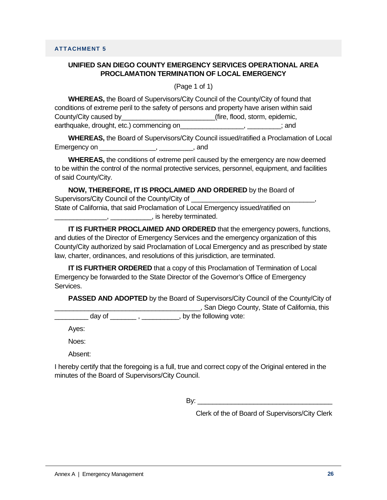(Page 1 of 1)

**WHEREAS,** the Board of Supervisors/City Council of the County/City of found that conditions of extreme peril to the safety of persons and property have arisen within said County/City caused by\_\_\_\_\_\_\_\_\_\_\_\_\_\_\_\_\_\_\_\_\_\_\_\_\_(fire, flood, storm, epidemic, earthquake, drought, etc.) commencing on earthquake, drought, etc.)

**WHEREAS,** the Board of Supervisors/City Council issued/ratified a Proclamation of Local Emergency on \_\_\_\_\_\_\_\_\_\_\_\_\_\_\_\_\_\_, \_\_\_\_\_\_\_\_\_\_, and

**WHEREAS,** the conditions of extreme peril caused by the emergency are now deemed to be within the control of the normal protective services, personnel, equipment, and facilities of said County/City.

**NOW, THEREFORE, IT IS PROCLAIMED AND ORDERED** by the Board of Supervisors/City Council of the County/City of State of California, that said Proclamation of Local Emergency issued/ratified on \_\_\_\_\_\_\_\_\_\_\_\_\_\_, \_\_\_\_\_\_\_\_\_\_\_, is hereby terminated.

**IT IS FURTHER PROCLAIMED AND ORDERED** that the emergency powers, functions, and duties of the Director of Emergency Services and the emergency organization of this County/City authorized by said Proclamation of Local Emergency and as prescribed by state law, charter, ordinances, and resolutions of this jurisdiction, are terminated.

**IT IS FURTHER ORDERED** that a copy of this Proclamation of Termination of Local Emergency be forwarded to the State Director of the Governor's Office of Emergency Services.

**PASSED AND ADOPTED** by the Board of Supervisors/City Council of the County/City of \_\_\_\_\_\_\_\_\_\_\_\_\_\_\_\_\_\_\_\_\_\_\_\_\_\_\_\_\_\_\_\_\_\_\_\_\_\_\_, San Diego County, State of California, this

day of  $\qquad, \qquad, \qquad, \qquad$  , by the following vote:

Ayes:

Noes:

Absent:

I hereby certify that the foregoing is a full, true and correct copy of the Original entered in the minutes of the Board of Supervisors/City Council.

 $\mathsf{B} \mathsf{v}$ :

Clerk of the of Board of Supervisors/City Clerk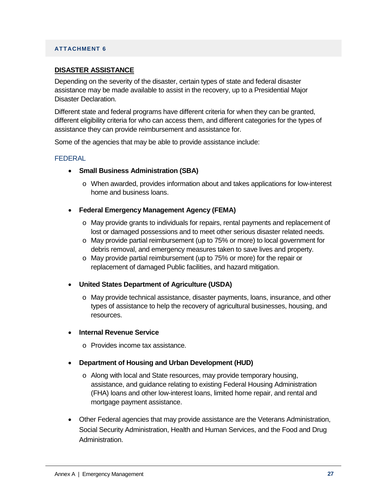#### **ATTACHMENT 6**

#### **DISASTER ASSISTANCE**

Depending on the severity of the disaster, certain types of state and federal disaster assistance may be made available to assist in the recovery, up to a Presidential Major Disaster Declaration.

Different state and federal programs have different criteria for when they can be granted, different eligibility criteria for who can access them, and different categories for the types of assistance they can provide reimbursement and assistance for.

Some of the agencies that may be able to provide assistance include:

#### FEDERAL

- **Small Business Administration (SBA)**
	- o When awarded, provides information about and takes applications for low-interest home and business loans.
- **Federal Emergency Management Agency (FEMA)** 
	- o May provide grants to individuals for repairs, rental payments and replacement of lost or damaged possessions and to meet other serious disaster related needs.
	- o May provide partial reimbursement (up to 75% or more) to local government for debris removal, and emergency measures taken to save lives and property.
	- $\circ$  May provide partial reimbursement (up to 75% or more) for the repair or replacement of damaged Public facilities, and hazard mitigation.
- **United States Department of Agriculture (USDA)**
	- o May provide technical assistance, disaster payments, loans, insurance, and other types of assistance to help the recovery of agricultural businesses, housing, and resources.
- **Internal Revenue Service**
	- o Provides income tax assistance.
- **Department of Housing and Urban Development (HUD)**
	- o Along with local and State resources, may provide temporary housing, assistance, and guidance relating to existing Federal Housing Administration (FHA) loans and other low-interest loans, limited home repair, and rental and mortgage payment assistance.
- Other Federal agencies that may provide assistance are the Veterans Administration, Social Security Administration, Health and Human Services, and the Food and Drug Administration.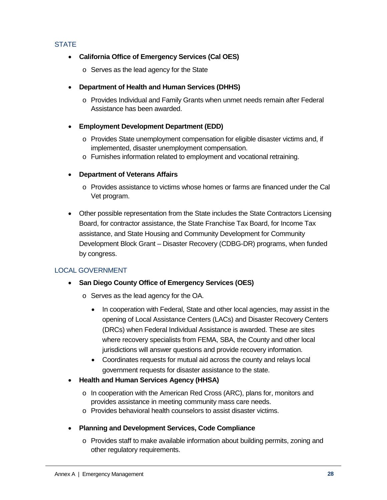## **STATE**

## • **California Office of Emergency Services (Cal OES)**

o Serves as the lead agency for the State

## • **Department of Health and Human Services (DHHS)**

- o Provides Individual and Family Grants when unmet needs remain after Federal Assistance has been awarded.
- **Employment Development Department (EDD)**
	- o Provides State unemployment compensation for eligible disaster victims and, if implemented, disaster unemployment compensation.
	- o Furnishes information related to employment and vocational retraining.

## • **Department of Veterans Affairs**

- o Provides assistance to victims whose homes or farms are financed under the Cal Vet program.
- Other possible representation from the State includes the State Contractors Licensing Board, for contractor assistance, the State Franchise Tax Board, for Income Tax assistance, and State Housing and Community Development for Community Development Block Grant – Disaster Recovery (CDBG-DR) programs, when funded by congress.

# LOCAL GOVERNMENT

- **San Diego County Office of Emergency Services (OES)** 
	- o Serves as the lead agency for the OA.
		- In cooperation with Federal, State and other local agencies, may assist in the opening of Local Assistance Centers (LACs) and Disaster Recovery Centers (DRCs) when Federal Individual Assistance is awarded. These are sites where recovery specialists from FEMA, SBA, the County and other local jurisdictions will answer questions and provide recovery information.
		- Coordinates requests for mutual aid across the county and relays local government requests for disaster assistance to the state.
- **Health and Human Services Agency (HHSA)**
	- o In cooperation with the American Red Cross (ARC), plans for, monitors and provides assistance in meeting community mass care needs.
	- o Provides behavioral health counselors to assist disaster victims.
- **Planning and Development Services, Code Compliance**
	- o Provides staff to make available information about building permits, zoning and other regulatory requirements.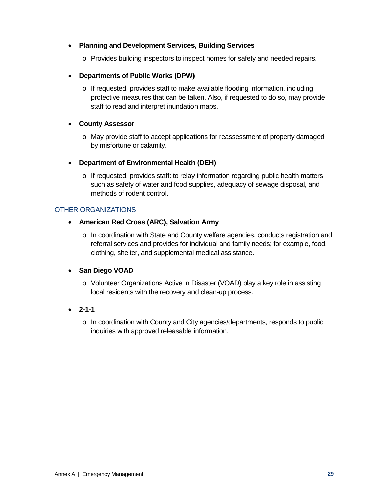## • **Planning and Development Services, Building Services**

- o Provides building inspectors to inspect homes for safety and needed repairs.
- **Departments of Public Works (DPW)**
	- $\circ$  If requested, provides staff to make available flooding information, including protective measures that can be taken. Also, if requested to do so, may provide staff to read and interpret inundation maps.

## • **County Assessor**

o May provide staff to accept applications for reassessment of property damaged by misfortune or calamity.

## • **Department of Environmental Health (DEH)**

 $\circ$  If requested, provides staff: to relay information regarding public health matters such as safety of water and food supplies, adequacy of sewage disposal, and methods of rodent control.

## OTHER ORGANIZATIONS

- **American Red Cross (ARC), Salvation Army**
	- $\circ$  In coordination with State and County welfare agencies, conducts registration and referral services and provides for individual and family needs; for example, food, clothing, shelter, and supplemental medical assistance.

# • **San Diego VOAD**

- o Volunteer Organizations Active in Disaster (VOAD) play a key role in assisting local residents with the recovery and clean-up process.
- **2-1-1**
	- o In coordination with County and City agencies/departments, responds to public inquiries with approved releasable information.